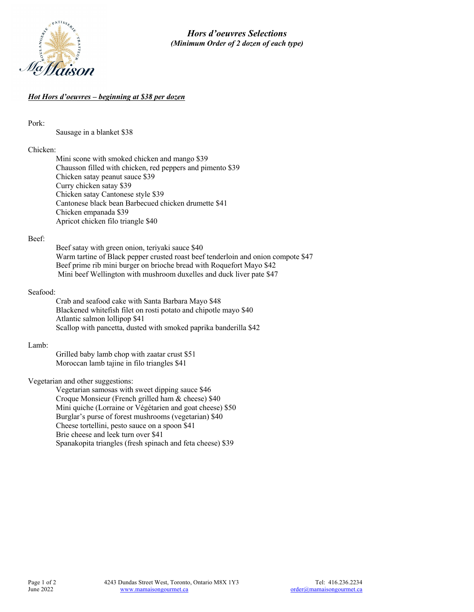

# *Hot Hors d'oeuvres – beginning at \$38 per dozen*

Pork:

Sausage in a blanket \$38

## Chicken:

Mini scone with smoked chicken and mango \$39 Chausson filled with chicken, red peppers and pimento \$39 Chicken satay peanut sauce \$39 Curry chicken satay \$39 Chicken satay Cantonese style \$39 Cantonese black bean Barbecued chicken drumette \$41 Chicken empanada \$39 Apricot chicken filo triangle \$40

### Beef:

Beef satay with green onion, teriyaki sauce \$40 Warm tartine of Black pepper crusted roast beef tenderloin and onion compote \$47 Beef prime rib mini burger on brioche bread with Roquefort Mayo \$42 Mini beef Wellington with mushroom duxelles and duck liver pate \$47

### Seafood:

Crab and seafood cake with Santa Barbara Mayo \$48 Blackened whitefish filet on rosti potato and chipotle mayo \$40 Atlantic salmon lollipop \$41 Scallop with pancetta, dusted with smoked paprika banderilla \$42

### Lamb:

Grilled baby lamb chop with zaatar crust \$51 Moroccan lamb tajine in filo triangles \$41

Vegetarian and other suggestions:

Vegetarian samosas with sweet dipping sauce \$46 Croque Monsieur (French grilled ham & cheese) \$40 Mini quiche (Lorraine or Végétarien and goat cheese) \$50 Burglar's purse of forest mushrooms (vegetarian) \$40 Cheese tortellini, pesto sauce on a spoon \$41 Brie cheese and leek turn over \$41 Spanakopita triangles (fresh spinach and feta cheese) \$39